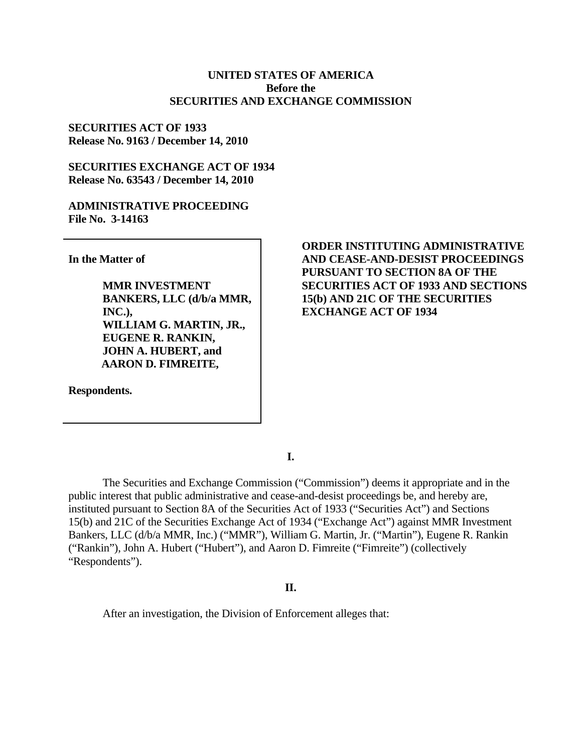### **UNITED STATES OF AMERICA Before the SECURITIES AND EXCHANGE COMMISSION**

## **SECURITIES ACT OF 1933 Release No. 9163 / December 14, 2010**

## **SECURITIES EXCHANGE ACT OF 1934 Release No. 63543 / December 14, 2010**

#### **ADMINISTRATIVE PROCEEDING File No. 3-14163**

**In the Matter of** 

**MMR INVESTMENT BANKERS, LLC (d/b/a MMR, INC.), WILLIAM G. MARTIN, JR., EUGENE R. RANKIN, JOHN A. HUBERT, and AARON D. FIMREITE,**

**Respondents.** 

## **ORDER INSTITUTING ADMINISTRATIVE AND CEASE-AND-DESIST PROCEEDINGS PURSUANT TO SECTION 8A OF THE SECURITIES ACT OF 1933 AND SECTIONS 15(b) AND 21C OF THE SECURITIES EXCHANGE ACT OF 1934**

**I.** 

The Securities and Exchange Commission ("Commission") deems it appropriate and in the public interest that public administrative and cease-and-desist proceedings be, and hereby are, instituted pursuant to Section 8A of the Securities Act of 1933 ("Securities Act") and Sections 15(b) and 21C of the Securities Exchange Act of 1934 ("Exchange Act") against MMR Investment Bankers, LLC (d/b/a MMR, Inc.) ("MMR"), William G. Martin, Jr. ("Martin"), Eugene R. Rankin ("Rankin"), John A. Hubert ("Hubert"), and Aaron D. Fimreite ("Fimreite") (collectively "Respondents").

### **II.**

After an investigation, the Division of Enforcement alleges that: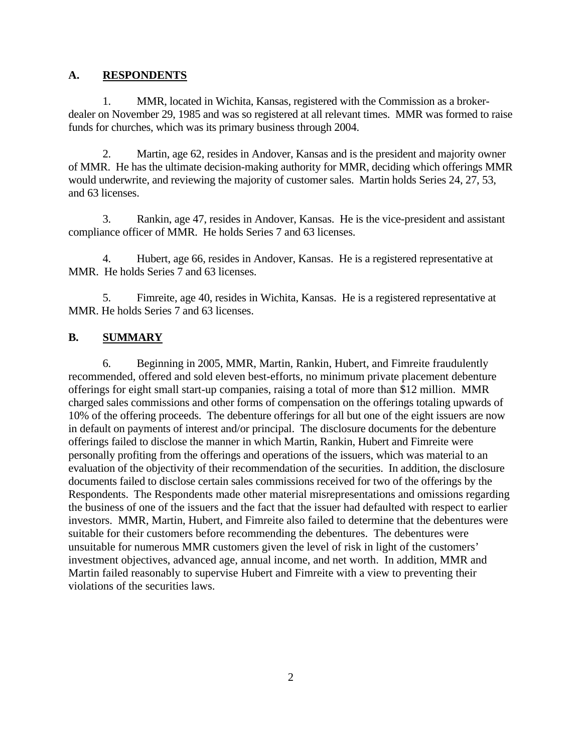## **A. RESPONDENTS**

1. MMR, located in Wichita, Kansas, registered with the Commission as a brokerdealer on November 29, 1985 and was so registered at all relevant times. MMR was formed to raise funds for churches, which was its primary business through 2004.

2. Martin, age 62, resides in Andover, Kansas and is the president and majority owner of MMR. He has the ultimate decision-making authority for MMR, deciding which offerings MMR would underwrite, and reviewing the majority of customer sales. Martin holds Series 24, 27, 53, and 63 licenses.

3. Rankin, age 47, resides in Andover, Kansas. He is the vice-president and assistant compliance officer of MMR. He holds Series 7 and 63 licenses.

4. Hubert, age 66, resides in Andover, Kansas. He is a registered representative at MMR. He holds Series 7 and 63 licenses.

5. Fimreite, age 40, resides in Wichita, Kansas. He is a registered representative at MMR. He holds Series 7 and 63 licenses.

## **B. SUMMARY**

 6. Beginning in 2005, MMR, Martin, Rankin, Hubert, and Fimreite fraudulently Respondents. The Respondents made other material misrepresentations and omissions regarding recommended, offered and sold eleven best-efforts, no minimum private placement debenture offerings for eight small start-up companies, raising a total of more than \$12 million. MMR charged sales commissions and other forms of compensation on the offerings totaling upwards of 10% of the offering proceeds. The debenture offerings for all but one of the eight issuers are now in default on payments of interest and/or principal. The disclosure documents for the debenture offerings failed to disclose the manner in which Martin, Rankin, Hubert and Fimreite were personally profiting from the offerings and operations of the issuers, which was material to an evaluation of the objectivity of their recommendation of the securities. In addition, the disclosure documents failed to disclose certain sales commissions received for two of the offerings by the the business of one of the issuers and the fact that the issuer had defaulted with respect to earlier investors. MMR, Martin, Hubert, and Fimreite also failed to determine that the debentures were suitable for their customers before recommending the debentures. The debentures were unsuitable for numerous MMR customers given the level of risk in light of the customers' investment objectives, advanced age, annual income, and net worth. In addition, MMR and Martin failed reasonably to supervise Hubert and Fimreite with a view to preventing their violations of the securities laws.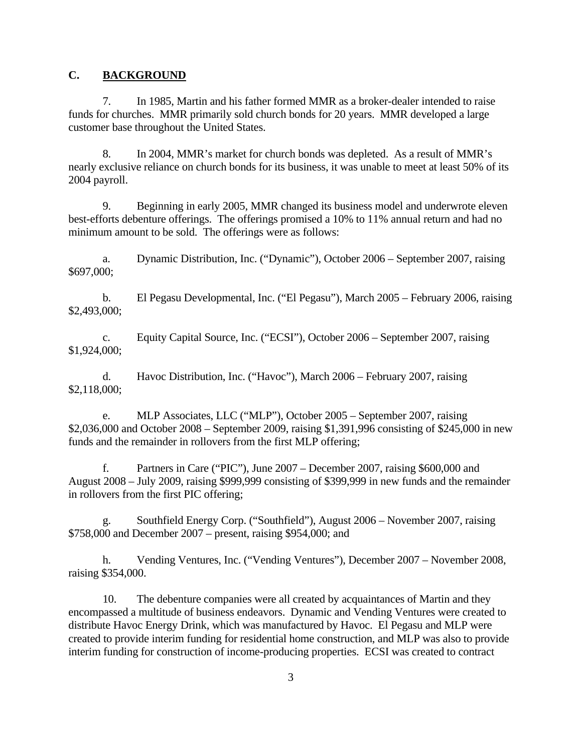## **C. BACKGROUND**

7. In 1985, Martin and his father formed MMR as a broker-dealer intended to raise funds for churches. MMR primarily sold church bonds for 20 years. MMR developed a large customer base throughout the United States.

8. In 2004, MMR's market for church bonds was depleted. As a result of MMR's nearly exclusive reliance on church bonds for its business, it was unable to meet at least 50% of its 2004 payroll.

9. Beginning in early 2005, MMR changed its business model and underwrote eleven best-efforts debenture offerings. The offerings promised a 10% to 11% annual return and had no minimum amount to be sold. The offerings were as follows:

a. Dynamic Distribution, Inc. ("Dynamic"), October 2006 – September 2007, raising \$697,000;

 $$2,493,000;$ b. El Pegasu Developmental, Inc. ("El Pegasu"), March 2005 – February 2006, raising

 $$1,924,000;$ c. Equity Capital Source, Inc. ("ECSI"), October 2006 – September 2007, raising

 $$2,118,000;$ d. Havoc Distribution, Inc. ("Havoc"), March 2006 – February 2007, raising

e. MLP Associates, LLC ("MLP"), October 2005 – September 2007, raising \$2,036,000 and October 2008 – September 2009, raising \$1,391,996 consisting of \$245,000 in new funds and the remainder in rollovers from the first MLP offering;

in rollovers from the first PIC offering; f. Partners in Care ("PIC"), June 2007 – December 2007, raising \$600,000 and August 2008 – July 2009, raising \$999,999 consisting of \$399,999 in new funds and the remainder

g. Southfield Energy Corp. ("Southfield"), August 2006 – November 2007, raising \$758,000 and December 2007 – present, raising \$954,000; and

h. Vending Ventures, Inc. ("Vending Ventures"), December 2007 – November 2008, raising \$354,000.

10. The debenture companies were all created by acquaintances of Martin and they encompassed a multitude of business endeavors. Dynamic and Vending Ventures were created to distribute Havoc Energy Drink, which was manufactured by Havoc. El Pegasu and MLP were created to provide interim funding for residential home construction, and MLP was also to provide interim funding for construction of income-producing properties. ECSI was created to contract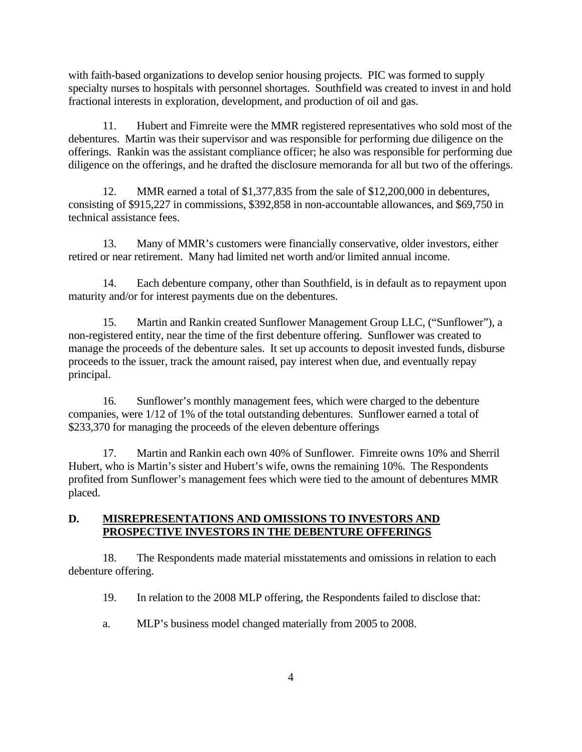with faith-based organizations to develop senior housing projects. PIC was formed to supply specialty nurses to hospitals with personnel shortages. Southfield was created to invest in and hold fractional interests in exploration, development, and production of oil and gas.

11. Hubert and Fimreite were the MMR registered representatives who sold most of the debentures. Martin was their supervisor and was responsible for performing due diligence on the offerings. Rankin was the assistant compliance officer; he also was responsible for performing due diligence on the offerings, and he drafted the disclosure memoranda for all but two of the offerings.

12. MMR earned a total of \$1,377,835 from the sale of \$12,200,000 in debentures, consisting of \$915,227 in commissions, \$392,858 in non-accountable allowances, and \$69,750 in technical assistance fees.

13. Many of MMR's customers were financially conservative, older investors, either retired or near retirement. Many had limited net worth and/or limited annual income.

14. Each debenture company, other than Southfield, is in default as to repayment upon maturity and/or for interest payments due on the debentures.

15. Martin and Rankin created Sunflower Management Group LLC, ("Sunflower"), a non-registered entity, near the time of the first debenture offering. Sunflower was created to manage the proceeds of the debenture sales. It set up accounts to deposit invested funds, disburse proceeds to the issuer, track the amount raised, pay interest when due, and eventually repay principal.

16. Sunflower's monthly management fees, which were charged to the debenture companies, were 1/12 of 1% of the total outstanding debentures. Sunflower earned a total of \$233,370 for managing the proceeds of the eleven debenture offerings

17. Martin and Rankin each own 40% of Sunflower. Fimreite owns 10% and Sherril Hubert, who is Martin's sister and Hubert's wife, owns the remaining 10%. The Respondents profited from Sunflower's management fees which were tied to the amount of debentures MMR placed.

## **D. MISREPRESENTATIONS AND OMISSIONS TO INVESTORS AND PROSPECTIVE INVESTORS IN THE DEBENTURE OFFERINGS**

18. The Respondents made material misstatements and omissions in relation to each debenture offering.

19. In relation to the 2008 MLP offering, the Respondents failed to disclose that:

a. MLP's business model changed materially from 2005 to 2008.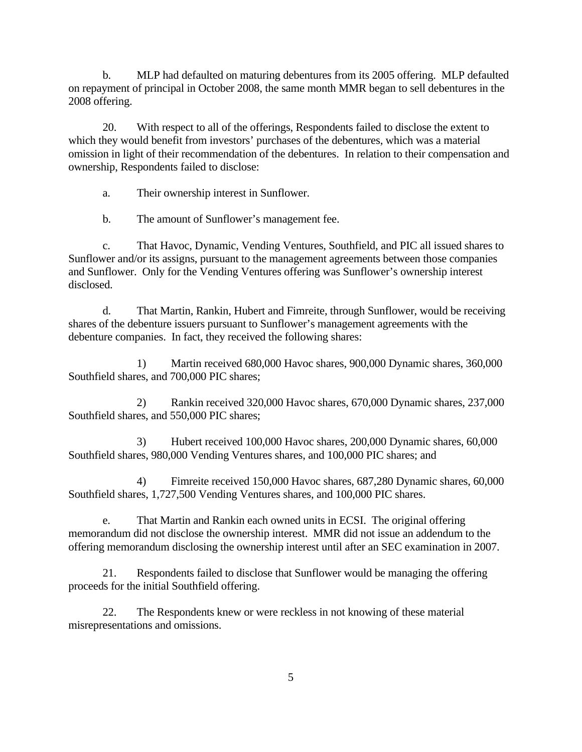b. MLP had defaulted on maturing debentures from its 2005 offering. MLP defaulted on repayment of principal in October 2008, the same month MMR began to sell debentures in the 2008 offering.

20. With respect to all of the offerings, Respondents failed to disclose the extent to which they would benefit from investors' purchases of the debentures, which was a material omission in light of their recommendation of the debentures. In relation to their compensation and ownership, Respondents failed to disclose:

a. Their ownership interest in Sunflower.

b. The amount of Sunflower's management fee.

c. That Havoc, Dynamic, Vending Ventures, Southfield, and PIC all issued shares to Sunflower and/or its assigns, pursuant to the management agreements between those companies and Sunflower. Only for the Vending Ventures offering was Sunflower's ownership interest disclosed.

d. That Martin, Rankin, Hubert and Fimreite, through Sunflower, would be receiving shares of the debenture issuers pursuant to Sunflower's management agreements with the debenture companies. In fact, they received the following shares:

1) Martin received 680,000 Havoc shares, 900,000 Dynamic shares, 360,000 Southfield shares, and 700,000 PIC shares;

2) Rankin received 320,000 Havoc shares, 670,000 Dynamic shares, 237,000 Southfield shares, and 550,000 PIC shares;

3) Hubert received 100,000 Havoc shares, 200,000 Dynamic shares, 60,000 Southfield shares, 980,000 Vending Ventures shares, and 100,000 PIC shares; and

4) Fimreite received 150,000 Havoc shares, 687,280 Dynamic shares, 60,000 Southfield shares, 1,727,500 Vending Ventures shares, and 100,000 PIC shares.

e. That Martin and Rankin each owned units in ECSI. The original offering memorandum did not disclose the ownership interest. MMR did not issue an addendum to the offering memorandum disclosing the ownership interest until after an SEC examination in 2007.

21. Respondents failed to disclose that Sunflower would be managing the offering proceeds for the initial Southfield offering.

22. The Respondents knew or were reckless in not knowing of these material misrepresentations and omissions.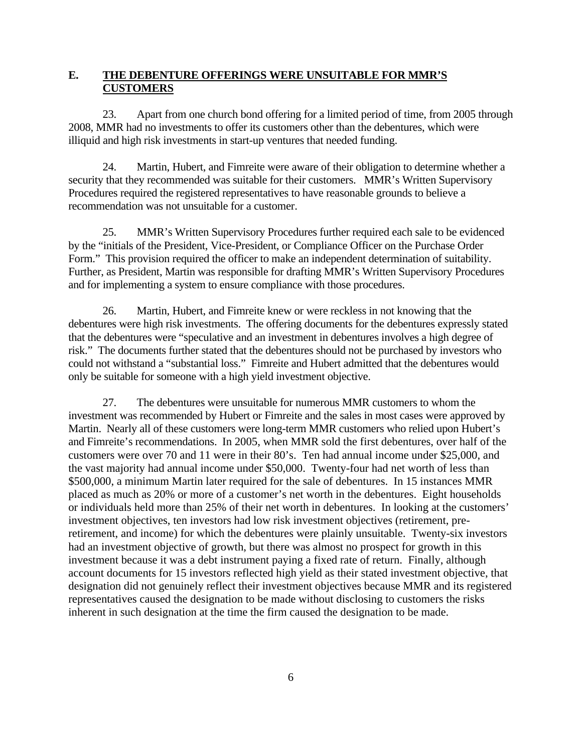# **E. THE DEBENTURE OFFERINGS WERE UNSUITABLE FOR MMR'S CUSTOMERS**

23. Apart from one church bond offering for a limited period of time, from 2005 through 2008, MMR had no investments to offer its customers other than the debentures, which were illiquid and high risk investments in start-up ventures that needed funding.

24. Martin, Hubert, and Fimreite were aware of their obligation to determine whether a security that they recommended was suitable for their customers. MMR's Written Supervisory Procedures required the registered representatives to have reasonable grounds to believe a recommendation was not unsuitable for a customer.

25. MMR's Written Supervisory Procedures further required each sale to be evidenced by the "initials of the President, Vice-President, or Compliance Officer on the Purchase Order Form." This provision required the officer to make an independent determination of suitability. Further, as President, Martin was responsible for drafting MMR's Written Supervisory Procedures and for implementing a system to ensure compliance with those procedures.

26. Martin, Hubert, and Fimreite knew or were reckless in not knowing that the debentures were high risk investments. The offering documents for the debentures expressly stated that the debentures were "speculative and an investment in debentures involves a high degree of risk." The documents further stated that the debentures should not be purchased by investors who could not withstand a "substantial loss." Fimreite and Hubert admitted that the debentures would only be suitable for someone with a high yield investment objective.

inherent in such designation at the time the firm caused the designation to be made.<br>
6 27. The debentures were unsuitable for numerous MMR customers to whom the investment was recommended by Hubert or Fimreite and the sales in most cases were approved by Martin. Nearly all of these customers were long-term MMR customers who relied upon Hubert's and Fimreite's recommendations. In 2005, when MMR sold the first debentures, over half of the customers were over 70 and 11 were in their 80's. Ten had annual income under \$25,000, and the vast majority had annual income under \$50,000. Twenty-four had net worth of less than \$500,000, a minimum Martin later required for the sale of debentures. In 15 instances MMR placed as much as 20% or more of a customer's net worth in the debentures. Eight households or individuals held more than 25% of their net worth in debentures. In looking at the customers' investment objectives, ten investors had low risk investment objectives (retirement, preretirement, and income) for which the debentures were plainly unsuitable. Twenty-six investors had an investment objective of growth, but there was almost no prospect for growth in this investment because it was a debt instrument paying a fixed rate of return. Finally, although account documents for 15 investors reflected high yield as their stated investment objective, that designation did not genuinely reflect their investment objectives because MMR and its registered representatives caused the designation to be made without disclosing to customers the risks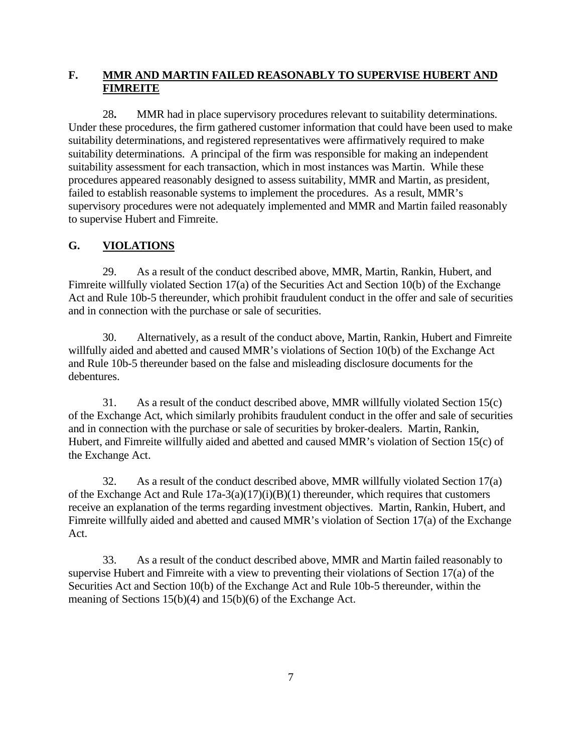# **F. MMR AND MARTIN FAILED REASONABLY TO SUPERVISE HUBERT AND FIMREITE**

28**.** MMR had in place supervisory procedures relevant to suitability determinations. Under these procedures, the firm gathered customer information that could have been used to make suitability determinations, and registered representatives were affirmatively required to make suitability determinations. A principal of the firm was responsible for making an independent suitability assessment for each transaction, which in most instances was Martin. While these procedures appeared reasonably designed to assess suitability, MMR and Martin, as president, failed to establish reasonable systems to implement the procedures. As a result, MMR's supervisory procedures were not adequately implemented and MMR and Martin failed reasonably to supervise Hubert and Fimreite.

# **G. VIOLATIONS**

29. As a result of the conduct described above, MMR, Martin, Rankin, Hubert, and Fimreite willfully violated Section 17(a) of the Securities Act and Section 10(b) of the Exchange Act and Rule 10b-5 thereunder, which prohibit fraudulent conduct in the offer and sale of securities and in connection with the purchase or sale of securities.

30. Alternatively, as a result of the conduct above, Martin, Rankin, Hubert and Fimreite willfully aided and abetted and caused MMR's violations of Section 10(b) of the Exchange Act and Rule 10b-5 thereunder based on the false and misleading disclosure documents for the debentures.

the Exchange Act. 31. As a result of the conduct described above, MMR willfully violated Section 15(c) of the Exchange Act, which similarly prohibits fraudulent conduct in the offer and sale of securities and in connection with the purchase or sale of securities by broker-dealers. Martin, Rankin, Hubert, and Fimreite willfully aided and abetted and caused MMR's violation of Section 15(c) of

32. As a result of the conduct described above, MMR willfully violated Section  $17(a)$ of the Exchange Act and Rule  $17a-3(a)(17)(i)(B)(1)$  thereunder, which requires that customers receive an explanation of the terms regarding investment objectives. Martin, Rankin, Hubert, and Fimreite willfully aided and abetted and caused MMR's violation of Section 17(a) of the Exchange Act.

33. As a result of the conduct described above, MMR and Martin failed reasonably to supervise Hubert and Fimreite with a view to preventing their violations of Section 17(a) of the Securities Act and Section 10(b) of the Exchange Act and Rule 10b-5 thereunder, within the meaning of Sections 15(b)(4) and 15(b)(6) of the Exchange Act.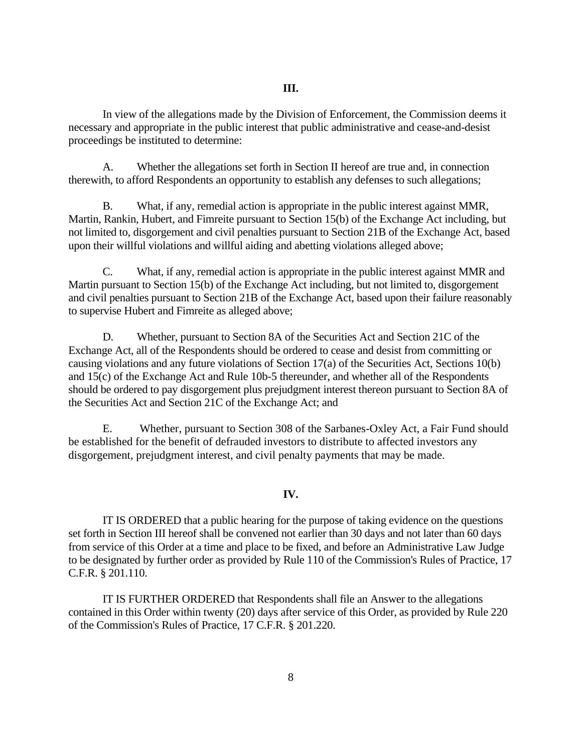In view of the allegations made by the Division of Enforcement, the Commission deems it necessary and appropriate in the public interest that public administrative and cease-and-desist proceedings be instituted to determine:

 therewith, to afford Respondents an opportunity to establish any defenses to such allegations; B. What, if any, remedial action is appropriate in the public interest against MMR, A. Whether the allegations set forth in Section II hereof are true and, in connection

Martin, Rankin, Hubert, and Fimreite pursuant to Section 15(b) of the Exchange Act including, but not limited to, disgorgement and civil penalties pursuant to Section 21B of the Exchange Act, based upon their willful violations and willful aiding and abetting violations alleged above;

to supervise Hubert and Fimreite as alleged above; C. What, if any, remedial action is appropriate in the public interest against MMR and Martin pursuant to Section 15(b) of the Exchange Act including, but not limited to, disgorgement and civil penalties pursuant to Section 21B of the Exchange Act, based upon their failure reasonably

D. Whether, pursuant to Section 8A of the Securities Act and Section 21C of the Exchange Act, all of the Respondents should be ordered to cease and desist from committing or causing violations and any future violations of Section 17(a) of the Securities Act, Sections 10(b) and 15(c) of the Exchange Act and Rule 10b-5 thereunder, and whether all of the Respondents should be ordered to pay disgorgement plus prejudgment interest thereon pursuant to Section 8A of the Securities Act and Section 21C of the Exchange Act; and

E. Whether, pursuant to Section 308 of the Sarbanes-Oxley Act, a Fair Fund should be established for the benefit of defrauded investors to distribute to affected investors any disgorgement, prejudgment interest, and civil penalty payments that may be made.

#### **IV.**

IT IS ORDERED that a public hearing for the purpose of taking evidence on the questions set forth in Section III hereof shall be convened not earlier than 30 days and not later than 60 days from service of this Order at a time and place to be fixed, and before an Administrative Law Judge to be designated by further order as provided by Rule 110 of the Commission's Rules of Practice, 17 C.F.R. § 201.110.

IT IS FURTHER ORDERED that Respondents shall file an Answer to the allegations contained in this Order within twenty (20) days after service of this Order, as provided by Rule 220 of the Commission's Rules of Practice, 17 C.F.R. § 201.220.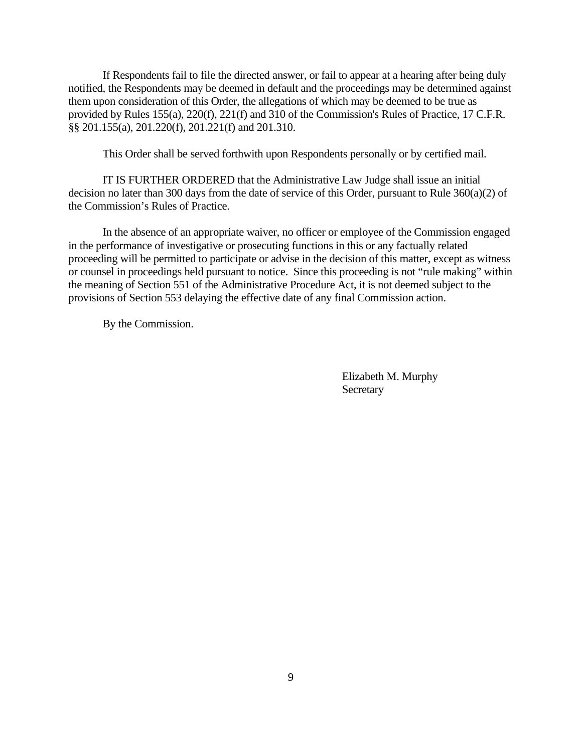If Respondents fail to file the directed answer, or fail to appear at a hearing after being duly notified, the Respondents may be deemed in default and the proceedings may be determined against them upon consideration of this Order, the allegations of which may be deemed to be true as provided by Rules 155(a), 220(f), 221(f) and 310 of the Commission's Rules of Practice, 17 C.F.R. §§ 201.155(a), 201.220(f), 201.221(f) and 201.310.

This Order shall be served forthwith upon Respondents personally or by certified mail.

IT IS FURTHER ORDERED that the Administrative Law Judge shall issue an initial decision no later than 300 days from the date of service of this Order, pursuant to Rule 360(a)(2) of the Commission's Rules of Practice.

In the absence of an appropriate waiver, no officer or employee of the Commission engaged in the performance of investigative or prosecuting functions in this or any factually related proceeding will be permitted to participate or advise in the decision of this matter, except as witness or counsel in proceedings held pursuant to notice. Since this proceeding is not "rule making" within the meaning of Section 551 of the Administrative Procedure Act, it is not deemed subject to the provisions of Section 553 delaying the effective date of any final Commission action.

By the Commission.

 Elizabeth M. Murphy **Secretary**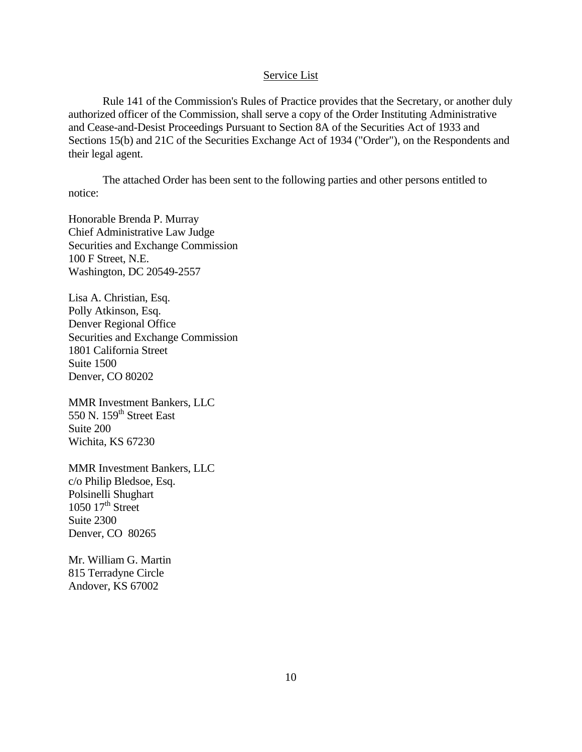#### Service List

Rule 141 of the Commission's Rules of Practice provides that the Secretary, or another duly authorized officer of the Commission, shall serve a copy of the Order Instituting Administrative and Cease-and-Desist Proceedings Pursuant to Section 8A of the Securities Act of 1933 and Sections 15(b) and 21C of the Securities Exchange Act of 1934 ("Order"), on the Respondents and their legal agent.

The attached Order has been sent to the following parties and other persons entitled to notice:

Chief Administrative Law Judge Honorable Brenda P. Murray Securities and Exchange Commission 100 F Street, N.E. Washington, DC 20549-2557

Denver Regional Office Lisa A. Christian, Esq. Polly Atkinson, Esq. Securities and Exchange Commission 1801 California Street Suite 1500 Denver, CO 80202

MMR Investment Bankers, LLC 550 N.  $159<sup>th</sup>$  Street East Suite 200 Wichita, KS 67230

MMR Investment Bankers, LLC c/o Philip Bledsoe, Esq. Polsinelli Shughart  $1050$   $17<sup>th</sup>$  Street Suite 2300 Denver, CO 80265

Mr. William G. Martin 815 Terradyne Circle Andover, KS 67002